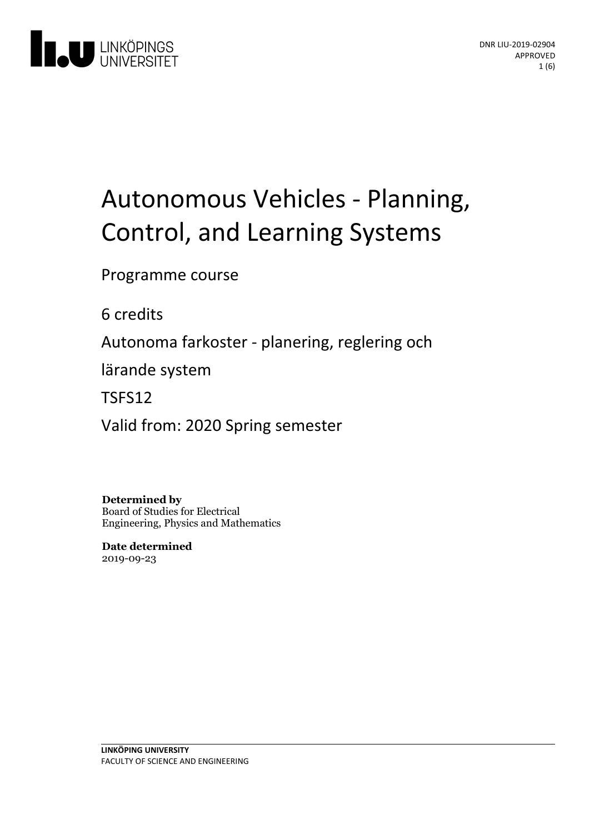

# Autonomous Vehicles - Planning, Control, and Learning Systems

Programme course

6 credits

Autonoma farkoster - planering, reglering och

lärande system

TSFS12

Valid from: 2020 Spring semester

**Determined by** Board of Studies for Electrical Engineering, Physics and Mathematics

**Date determined** 2019-09-23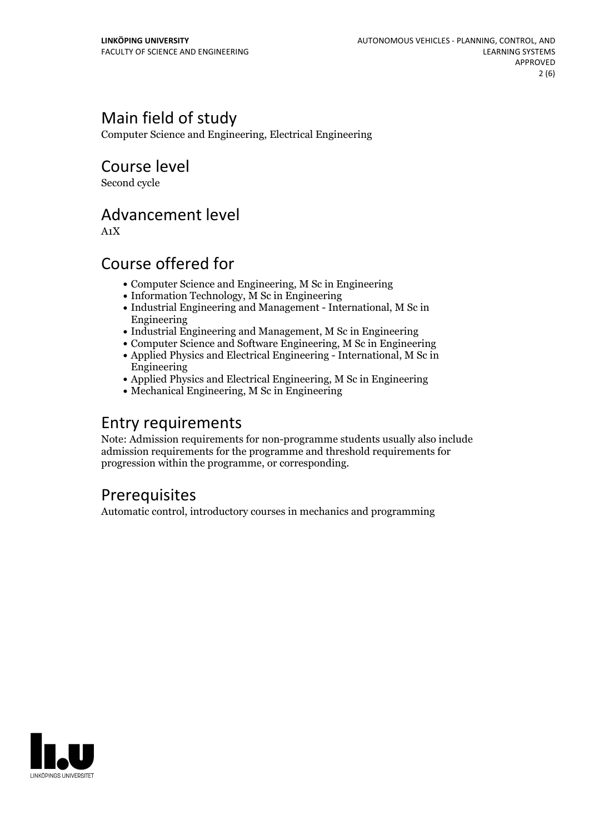# Main field of study

Computer Science and Engineering, Electrical Engineering

Course level

Second cycle

### Advancement level

A1X

### Course offered for

- Computer Science and Engineering, M Sc in Engineering
- Information Technology, M Sc in Engineering
- Industrial Engineering and Management International, M Sc in Engineering
- Industrial Engineering and Management, M Sc in Engineering
- Computer Science and Software Engineering, M Sc in Engineering Applied Physics and Electrical Engineering - International, M Sc in Engineering
- Applied Physics and Electrical Engineering, M Sc in Engineering
- Mechanical Engineering, M Sc in Engineering

### Entry requirements

Note: Admission requirements for non-programme students usually also include admission requirements for the programme and threshold requirements for progression within the programme, or corresponding.

# **Prerequisites**

Automatic control, introductory courses in mechanics and programming

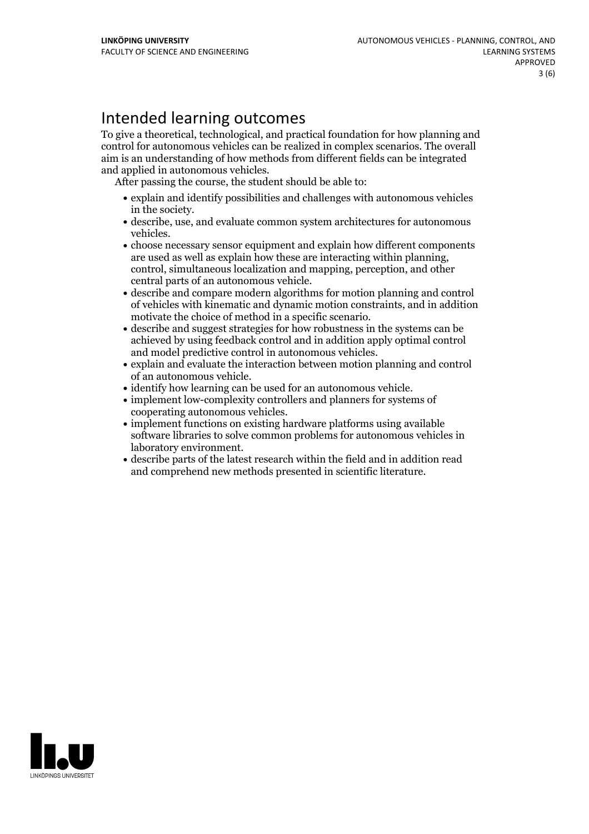# Intended learning outcomes

To give a theoretical, technological, and practical foundation for how planning and control for autonomous vehicles can be realized in complex scenarios. The overall aim is an understanding of how methods from different fields can be integrated and applied in autonomous vehicles. After passing the course, the student should be able to:

- explain and identify possibilities and challenges with autonomous vehicles
- in the society.<br>• describe, use, and evaluate common system architectures for autonomous
- vehicles.<br>• choose necessary sensor equipment and explain how different components<br>are used as well as explain how these are interacting within planning. control, simultaneous localization and mapping, perception, and other
- central parts of an autonomous vehicle.<br>• describe and compare modern algorithms for motion planning and control of vehicles with kinematic and dynamic motion constraints, and in addition motivate the choice of method in a specific scenario.<br>• describe and suggest strategies for how robustness in the systems can be
- achieved by using feedback control and in addition apply optimal control and model predictive control in autonomous vehicles.<br>• explain and evaluate the interaction between motion planning and control
- of an autonomous vehicle.<br>• identify how learning can be used for an autonomous vehicle.<br>• implement low-complexity controllers and planners for systems of
- 
- 
- cooperating autonomous vehicles.<br>• implement functions on existing hardware platforms using available software libraries to solve common problems for autonomous vehicles in laboratory environment.<br>• describe parts of the latest research within the field and in addition read
- and comprehend new methods presented in scientific literature.

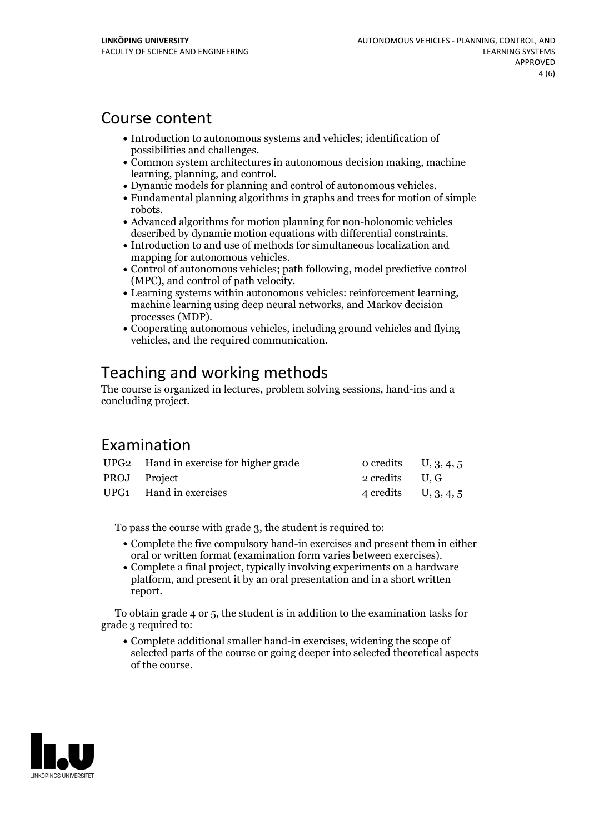### Course content

- Introduction to autonomous systems and vehicles: identification of
- possibilities and challenges.<br>• Common system architectures in autonomous decision making, machine
- 
- learning, planning, and control.<br>• Dynamic models for planning and control of autonomous vehicles.<br>• Fundamental planning algorithms in graphs and trees for motion of simple
- robots.<br>• Advanced algorithms for motion planning for non-holonomic vehicles
- described by dynamic motion equations with differential constraints.<br>• Introduction to and use of methods for simultaneous localization and manning for autonomous vehicles.
- Control of autonomous vehicles: path following, model predictive control
- (MPC), and control of path velocity. Learning systems within autonomous vehicles: reinforcement learning, machine learning using deep neural networks, and Markov decision
- processes (MDP).<br>• Cooperating autonomous vehicles, including ground vehicles and flying vehicles, and the required communication.

# Teaching and working methods

The course is organized in lectures, problem solving sessions, hand-ins and a concluding project.

### Examination

|              | UPG2 Hand in exercise for higher grade | $\alpha$ credits U, 3, 4, 5 |  |
|--------------|----------------------------------------|-----------------------------|--|
| PROJ Project |                                        | 2 credits U.G               |  |
|              | UPG1 Hand in exercises                 | 4 credits U, $3, 4, 5$      |  |

To pass the course with grade 3, the student is required to:

- Complete the five compulsory hand-in exercises and present them in either
- oral or written format (examination form varies between exercises).<br>• Complete a final project, typically involving experiments on a hardware platform, and present it by an oral presentation and in a short written report.

To obtain grade 4 or 5, the student is in addition to the examination tasks for grade 3 required to:

Complete additional smaller hand-in exercises, widening the scope of selected parts of the course or going deeper into selected theoretical aspects of the course.

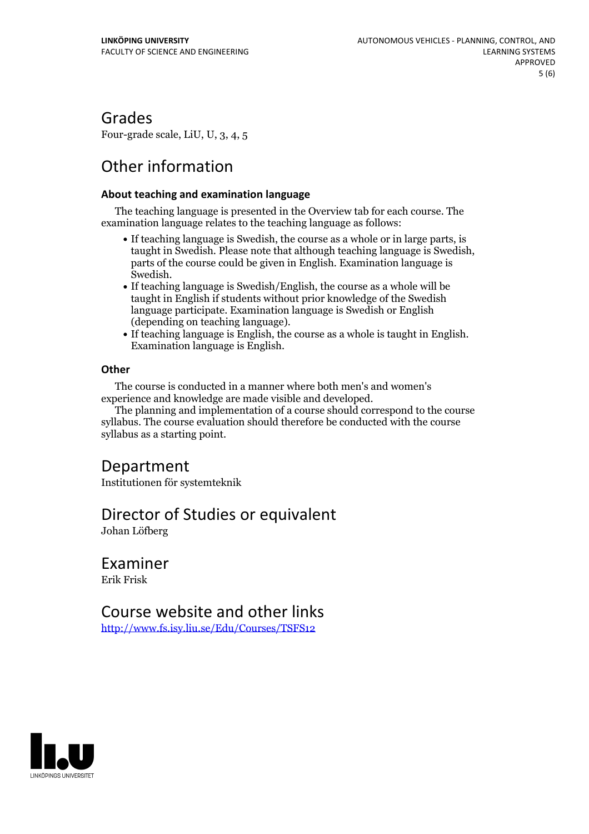### Grades

Four-grade scale, LiU, U, 3, 4, 5

# Other information

#### **About teaching and examination language**

The teaching language is presented in the Overview tab for each course. The examination language relates to the teaching language as follows:

- If teaching language is Swedish, the course as a whole or in large parts, is taught in Swedish. Please note that although teaching language is Swedish, parts of the course could be given in English. Examination language is
- Swedish.<br>• If teaching language is Swedish/English, the course as a whole will be taught in English if students without prior knowledge of the Swedish language participate. Examination language is Swedish or English
- (depending on teaching language).<br>• If teaching language is English, the course as a whole is taught in English.<br>Examination language is English.

#### **Other**

The course is conducted in a manner where both men's and women's

The planning and implementation of a course should correspond to the course syllabus. The course evaluation should therefore be conducted with the course syllabus as a starting point.

### Department

Institutionen för systemteknik

### Director of Studies or equivalent

Johan Löfberg

#### Examiner Erik Frisk

### Course website and other links

<http://www.fs.isy.liu.se/Edu/Courses/TSFS12>